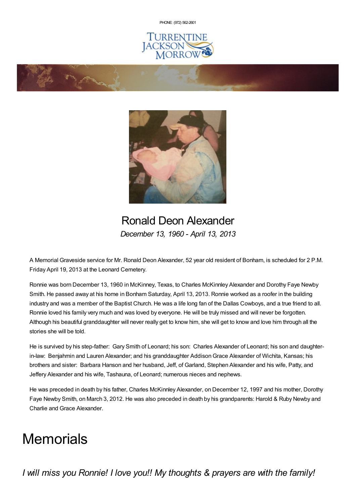PHONE: (972) [562-2601](tel:(972) 562-2601)







## Ronald Deon Alexander *December 13, 1960 - April 13, 2013*

A Memorial Graveside service for Mr. Ronald Deon Alexander, 52 year old resident of Bonham, is scheduled for 2 P.M. Friday April 19, 2013 at the Leonard Cemetery.

Ronnie was born December 13, 1960 in McKinney, Texas, to Charles McKinnley Alexander and Dorothy Faye Newby Smith. He passed away at his home in Bonham Saturday, April 13, 2013. Ronnie worked as a roofer in the building industry and was a member of the Baptist Church. He was a life long fan of the Dallas Cowboys, and a true friend to all. Ronnie loved his family very much and was loved by everyone. He will be truly missed and will never be forgotten. Although his beautiful granddaughter will never really get to know him, she will get to know and love him through all the stories she will be told.

He is survived by his step-father: Gary Smith of Leonard; his son: Charles Alexander of Leonard; his son and daughterin-law: Benjahmin and Lauren Alexander; and his granddaughter AddisonGrace Alexander of Wichita, Kansas; his brothers and sister: Barbara Hanson and her husband, Jeff, of Garland, Stephen Alexander and his wife, Patty, and Jeffery Alexander and his wife, Tashauna, of Leonard; numerous nieces and nephews.

He was preceded in death by his father, Charles McKinnley Alexander, on December 12, 1997 and his mother, Dorothy Faye Newby Smith, on March 3, 2012. He was also preceded in death by his grandparents: Harold & Ruby Newby and Charlie and Grace Alexander.

## **Memorials**

*I will miss you Ronnie! I love you!! My thoughts & prayers are with the family!*